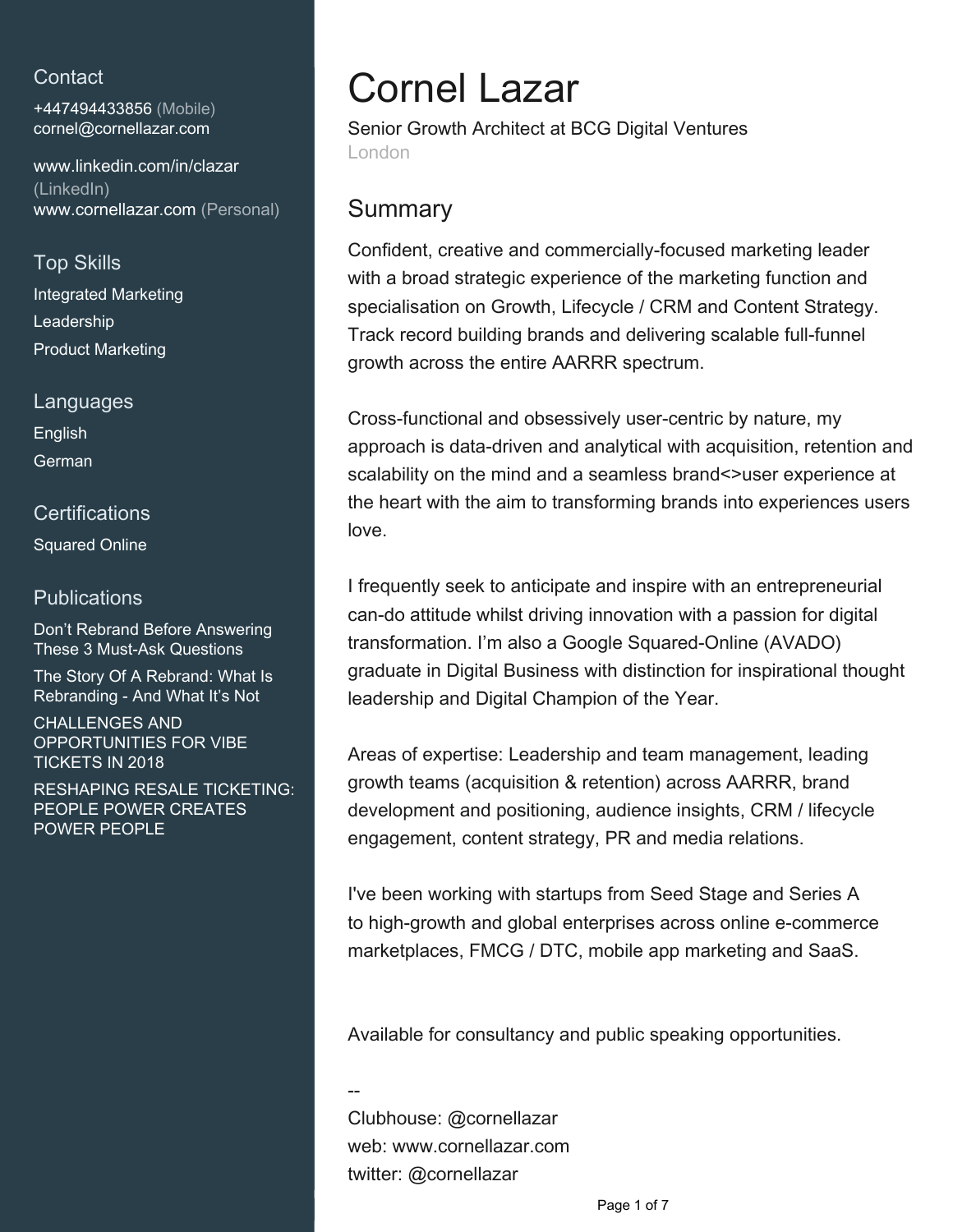# **Contact**

+447494433856 (Mobile) [cornel@cornellazar.com](mailto:cornel@cornellazar.com)

[www.linkedin.com/in/clazar](https://www.linkedin.com/in/clazar?jobid=1234&lipi=urn%3Ali%3Apage%3Ad_jobs_easyapply_pdfgenresume%3BEf7wwrf7R0eVdacRlNMGrA%3D%3D&licu=urn%3Ali%3Acontrol%3Ad_jobs_easyapply_pdfgenresume-v02_profile) [\(LinkedIn\)](https://www.linkedin.com/in/clazar?jobid=1234&lipi=urn%3Ali%3Apage%3Ad_jobs_easyapply_pdfgenresume%3BEf7wwrf7R0eVdacRlNMGrA%3D%3D&licu=urn%3Ali%3Acontrol%3Ad_jobs_easyapply_pdfgenresume-v02_profile) [www.cornellazar.com \(Personal\)](http://www.cornellazar.com)

# Top Skills

Integrated Marketing Leadership Product Marketing

Languages

English German

### **Certifications**

Squared Online

# **Publications**

Don't Rebrand Before Answering These 3 Must-Ask Questions

The Story Of A Rebrand: What Is Rebranding - And What It's Not

CHALLENGES AND OPPORTUNITIES FOR VIBE TICKETS IN 2018

RESHAPING RESALE TICKETING: PEOPLE POWER CREATES POWER PEOPLE

# Cornel Lazar

Senior Growth Architect at BCG Digital Ventures London

# **Summary**

Confident, creative and commercially-focused marketing leader with a broad strategic experience of the marketing function and specialisation on Growth, Lifecycle / CRM and Content Strategy. Track record building brands and delivering scalable full-funnel growth across the entire AARRR spectrum.

Cross-functional and obsessively user-centric by nature, my approach is data-driven and analytical with acquisition, retention and scalability on the mind and a seamless brand<>user experience at the heart with the aim to transforming brands into experiences users love.

I frequently seek to anticipate and inspire with an entrepreneurial can-do attitude whilst driving innovation with a passion for digital transformation. I'm also a Google Squared-Online (AVADO) graduate in Digital Business with distinction for inspirational thought leadership and Digital Champion of the Year.

Areas of expertise: Leadership and team management, leading growth teams (acquisition & retention) across AARRR, brand development and positioning, audience insights, CRM / lifecycle engagement, content strategy, PR and media relations.

I've been working with startups from Seed Stage and Series A to high-growth and global enterprises across online e-commerce marketplaces, FMCG / DTC, mobile app marketing and SaaS.

Available for consultancy and public speaking opportunities.

-- Clubhouse: @cornellazar web: www.cornellazar.com twitter: @cornellazar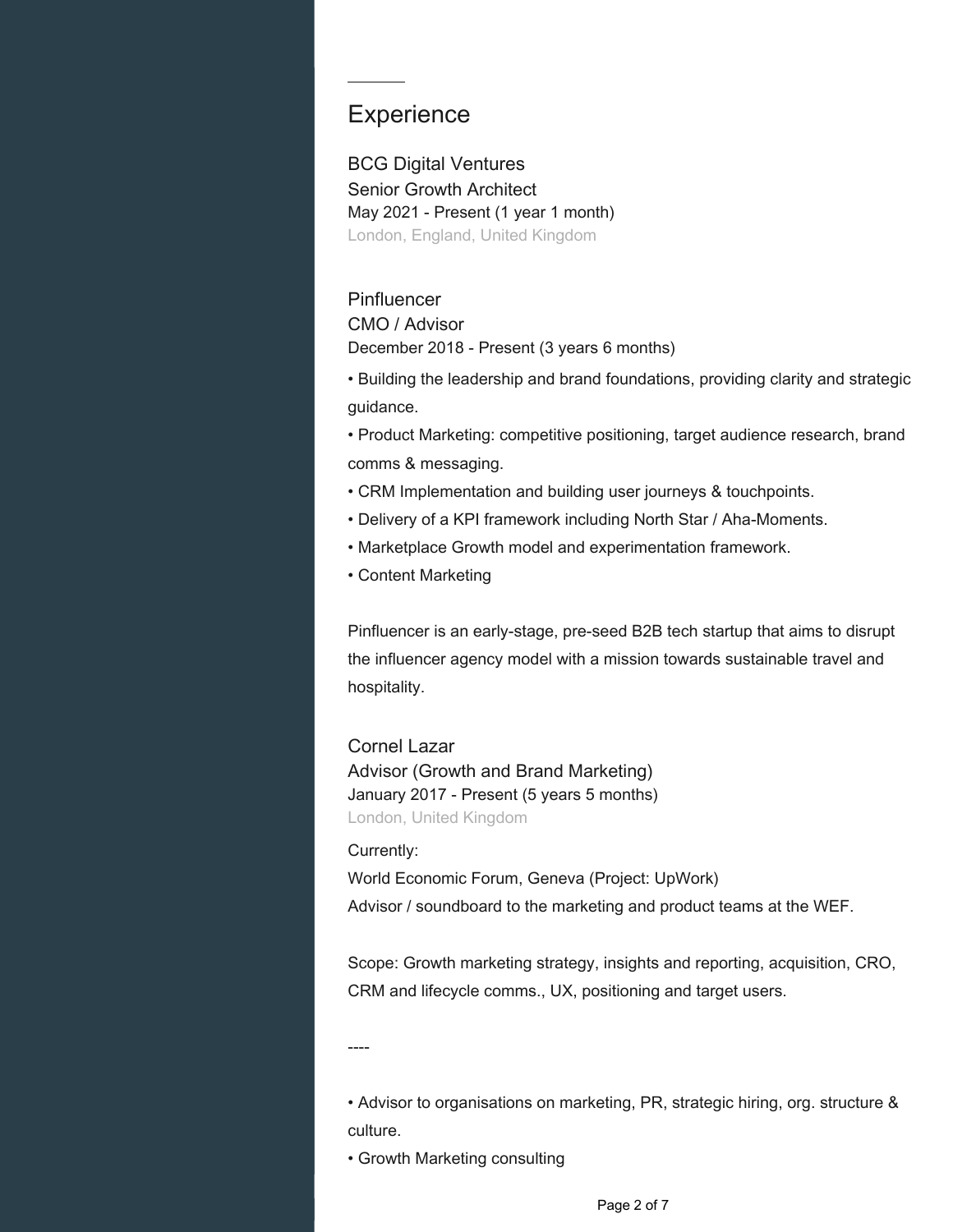# **Experience**

BCG Digital Ventures Senior Growth Architect May 2021 - Present (1 year 1 month) London, England, United Kingdom

#### **Pinfluencer**

CMO / Advisor December 2018 - Present (3 years 6 months)

• Building the leadership and brand foundations, providing clarity and strategic guidance.

• Product Marketing: competitive positioning, target audience research, brand comms & messaging.

- CRM Implementation and building user journeys & touchpoints.
- Delivery of a KPI framework including North Star / Aha-Moments.
- Marketplace Growth model and experimentation framework.
- Content Marketing

Pinfluencer is an early-stage, pre-seed B2B tech startup that aims to disrupt the influencer agency model with a mission towards sustainable travel and hospitality.

Cornel Lazar Advisor (Growth and Brand Marketing) January 2017 - Present (5 years 5 months) London, United Kingdom

Currently:

World Economic Forum, Geneva (Project: UpWork) Advisor / soundboard to the marketing and product teams at the WEF.

Scope: Growth marketing strategy, insights and reporting, acquisition, CRO, CRM and lifecycle comms., UX, positioning and target users.

----

• Advisor to organisations on marketing, PR, strategic hiring, org. structure & culture.

• Growth Marketing consulting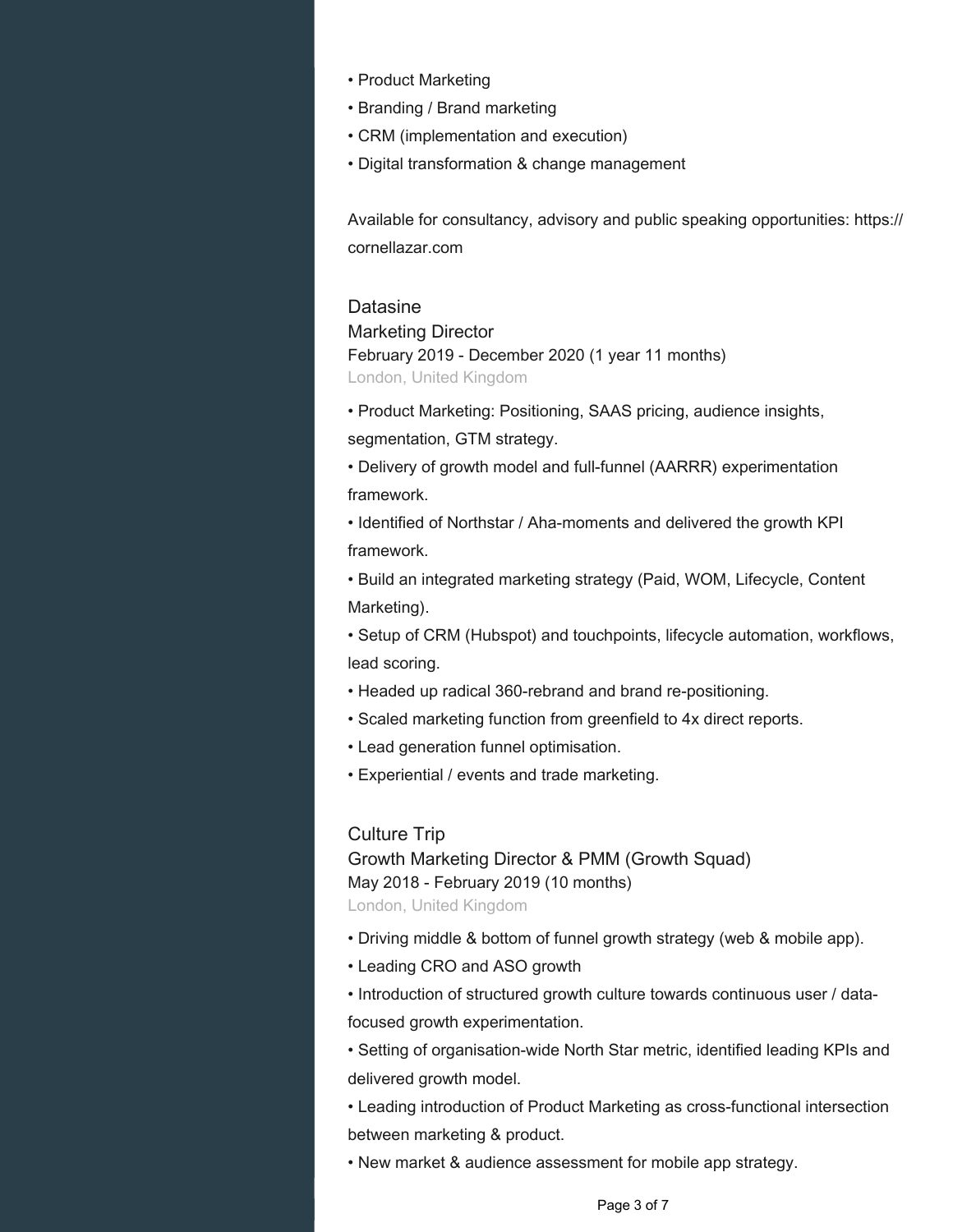- Product Marketing
- Branding / Brand marketing
- CRM (implementation and execution)
- Digital transformation & change management

Available for consultancy, advisory and public speaking opportunities: https:// cornellazar.com

#### **Datasine**

Marketing Director February 2019 - December 2020 (1 year 11 months) London, United Kingdom

• Product Marketing: Positioning, SAAS pricing, audience insights, segmentation, GTM strategy.

• Delivery of growth model and full-funnel (AARRR) experimentation framework.

• Identified of Northstar / Aha-moments and delivered the growth KPI framework.

• Build an integrated marketing strategy (Paid, WOM, Lifecycle, Content Marketing).

• Setup of CRM (Hubspot) and touchpoints, lifecycle automation, workflows, lead scoring.

- Headed up radical 360-rebrand and brand re-positioning.
- Scaled marketing function from greenfield to 4x direct reports.
- Lead generation funnel optimisation.
- Experiential / events and trade marketing.

#### Culture Trip

Growth Marketing Director & PMM (Growth Squad) May 2018 - February 2019 (10 months)

London, United Kingdom

- Driving middle & bottom of funnel growth strategy (web & mobile app).
- Leading CRO and ASO growth
- Introduction of structured growth culture towards continuous user / datafocused growth experimentation.

• Setting of organisation-wide North Star metric, identified leading KPIs and delivered growth model.

• Leading introduction of Product Marketing as cross-functional intersection between marketing & product.

• New market & audience assessment for mobile app strategy.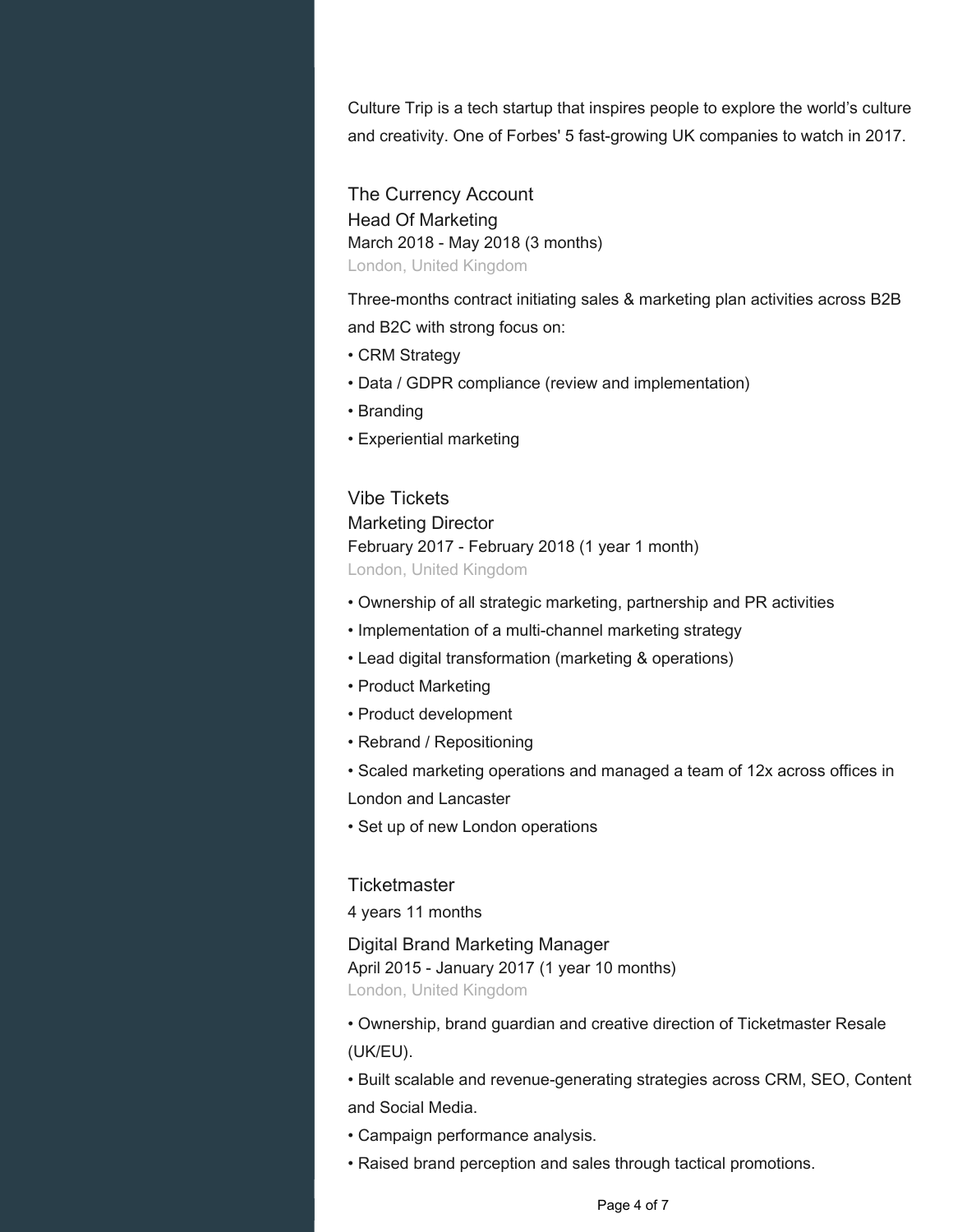Culture Trip is a tech startup that inspires people to explore the world's culture and creativity. One of Forbes' 5 fast-growing UK companies to watch in 2017.

The Currency Account Head Of Marketing March 2018 - May 2018 (3 months) London, United Kingdom

Three-months contract initiating sales & marketing plan activities across B2B and B2C with strong focus on:

- CRM Strategy
- Data / GDPR compliance (review and implementation)
- Branding
- Experiential marketing

## Vibe Tickets Marketing Director February 2017 - February 2018 (1 year 1 month)

London, United Kingdom

- Ownership of all strategic marketing, partnership and PR activities
- Implementation of a multi-channel marketing strategy
- Lead digital transformation (marketing & operations)
- Product Marketing
- Product development
- Rebrand / Repositioning
- Scaled marketing operations and managed a team of 12x across offices in

London and Lancaster

• Set up of new London operations

#### **Ticketmaster**

4 years 11 months

Digital Brand Marketing Manager April 2015 - January 2017 (1 year 10 months) London, United Kingdom

• Ownership, brand guardian and creative direction of Ticketmaster Resale (UK/EU).

• Built scalable and revenue-generating strategies across CRM, SEO, Content and Social Media.

- Campaign performance analysis.
- Raised brand perception and sales through tactical promotions.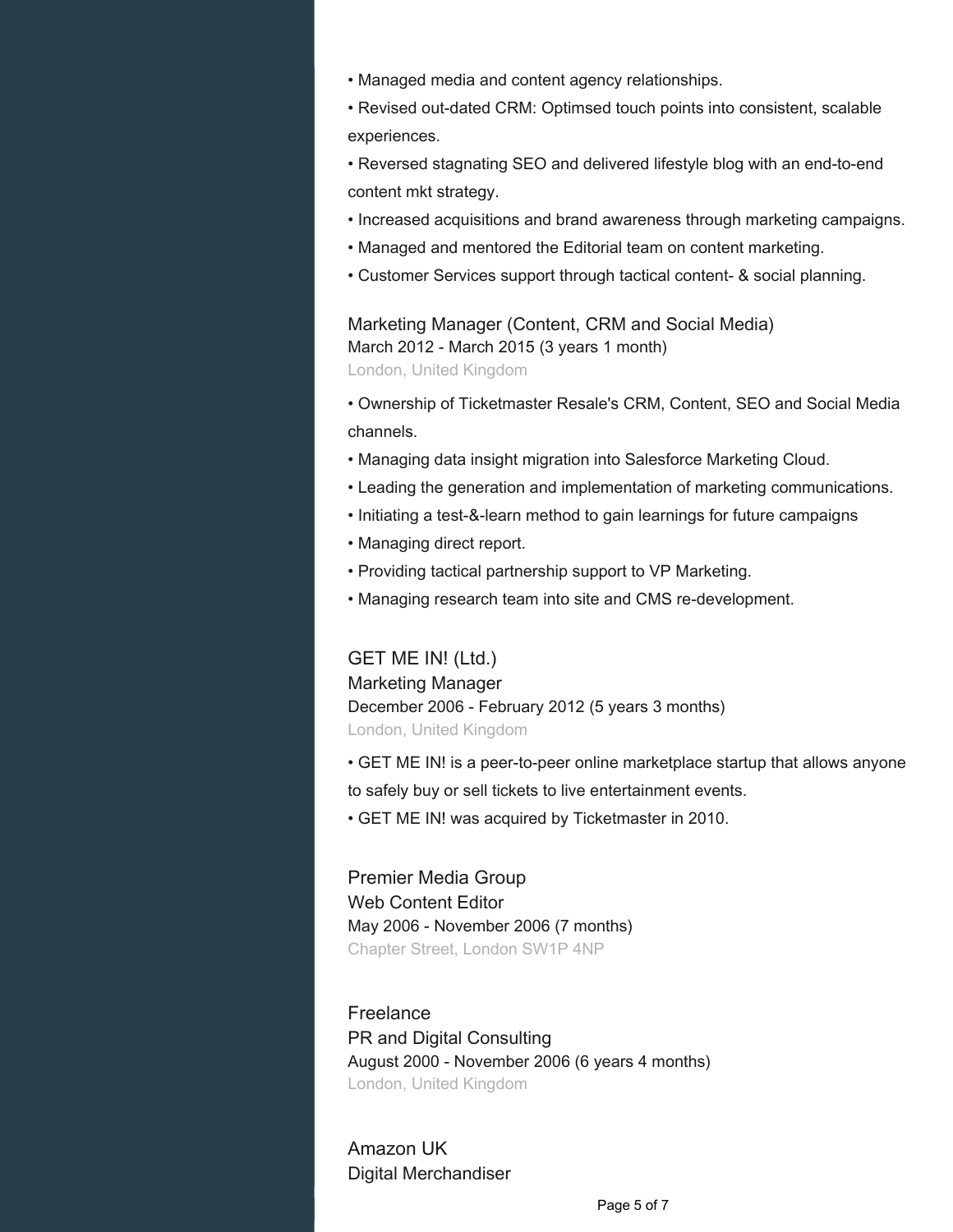- Managed media and content agency relationships.
- Revised out-dated CRM: Optimsed touch points into consistent, scalable experiences.
- Reversed stagnating SEO and delivered lifestyle blog with an end-to-end content mkt strategy.
- Increased acquisitions and brand awareness through marketing campaigns.
- Managed and mentored the Editorial team on content marketing.
- Customer Services support through tactical content- & social planning.

Marketing Manager (Content, CRM and Social Media) March 2012 - March 2015 (3 years 1 month) London, United Kingdom

- Ownership of Ticketmaster Resale's CRM, Content, SEO and Social Media channels.
- Managing data insight migration into Salesforce Marketing Cloud.
- Leading the generation and implementation of marketing communications.
- Initiating a test-&-learn method to gain learnings for future campaigns
- Managing direct report.
- Providing tactical partnership support to VP Marketing.
- Managing research team into site and CMS re-development.

GET ME IN! (Ltd.)

Marketing Manager December 2006 - February 2012 (5 years 3 months) London, United Kingdom

• GET ME IN! is a peer-to-peer online marketplace startup that allows anyone to safely buy or sell tickets to live entertainment events.

• GET ME IN! was acquired by Ticketmaster in 2010.

Premier Media Group Web Content Editor May 2006 - November 2006 (7 months) Chapter Street, London SW1P 4NP

Freelance PR and Digital Consulting August 2000 - November 2006 (6 years 4 months) London, United Kingdom

Amazon UK Digital Merchandiser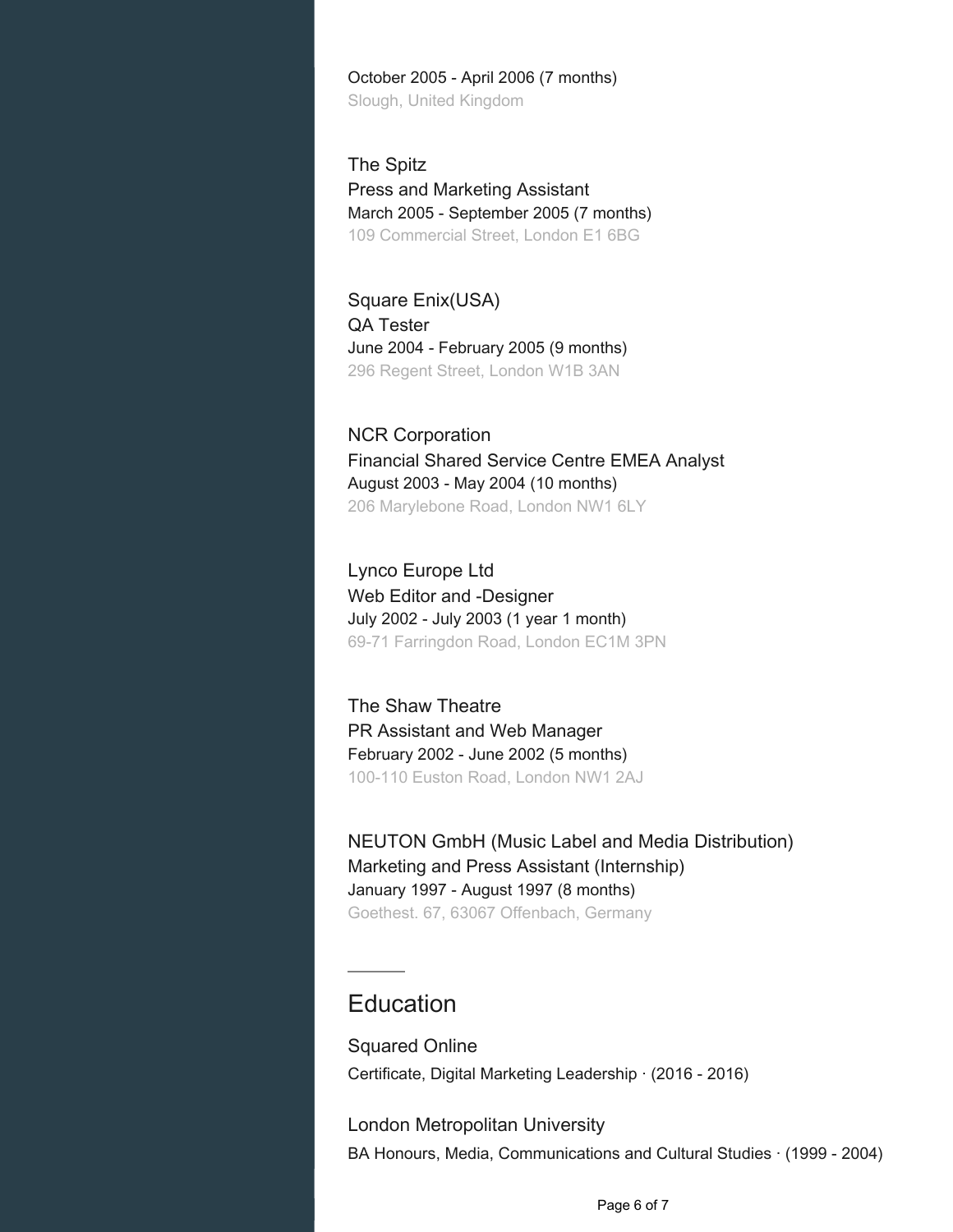October 2005 - April 2006 (7 months) Slough, United Kingdom

The Spitz Press and Marketing Assistant March 2005 - September 2005 (7 months) 109 Commercial Street, London E1 6BG

Square Enix(USA) QA Tester June 2004 - February 2005 (9 months) 296 Regent Street, London W1B 3AN

NCR Corporation Financial Shared Service Centre EMEA Analyst August 2003 - May 2004 (10 months) 206 Marylebone Road, London NW1 6LY

Lynco Europe Ltd Web Editor and -Designer July 2002 - July 2003 (1 year 1 month) 69-71 Farringdon Road, London EC1M 3PN

The Shaw Theatre PR Assistant and Web Manager February 2002 - June 2002 (5 months) 100-110 Euston Road, London NW1 2AJ

NEUTON GmbH (Music Label and Media Distribution) Marketing and Press Assistant (Internship) January 1997 - August 1997 (8 months) Goethest. 67, 63067 Offenbach, Germany

# Education

Squared Online Certificate, Digital Marketing Leadership · (2016 - 2016)

London Metropolitan University BA Honours, Media, Communications and Cultural Studies · (1999 - 2004)